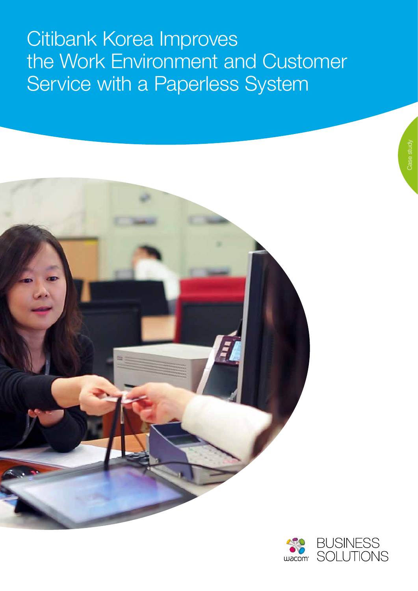## Citibank Korea Improves the Work Environment and Customer Service with a Paperless System



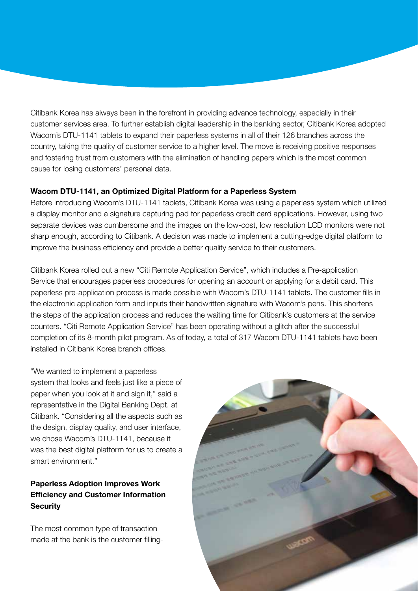Citibank Korea has always been in the forefront in providing advance technology, especially in their customer services area. To further establish digital leadership in the banking sector, Citibank Korea adopted Wacom's DTU-1141 tablets to expand their paperless systems in all of their 126 branches across the country, taking the quality of customer service to a higher level. The move is receiving positive responses and fostering trust from customers with the elimination of handling papers which is the most common cause for losing customers' personal data.

## **Wacom DTU-1141, an Optimized Digital Platform for a Paperless System**

Before introducing Wacom's DTU-1141 tablets, Citibank Korea was using a paperless system which utilized a display monitor and a signature capturing pad for paperless credit card applications. However, using two separate devices was cumbersome and the images on the low-cost, low resolution LCD monitors were not sharp enough, according to Citibank. A decision was made to implement a cutting-edge digital platform to improve the business efficiency and provide a better quality service to their customers.

Citibank Korea rolled out a new "Citi Remote Application Service", which includes a Pre-application Service that encourages paperless procedures for opening an account or applying for a debit card. This paperless pre-application process is made possible with Wacom's DTU-1141 tablets. The customer fills in the electronic application form and inputs their handwritten signature with Wacom's pens. This shortens the steps of the application process and reduces the waiting time for Citibank's customers at the service counters. "Citi Remote Application Service" has been operating without a glitch after the successful completion of its 8-month pilot program. As of today, a total of 317 Wacom DTU-1141 tablets have been installed in Citibank Korea branch offices.

"We wanted to implement a paperless system that looks and feels just like a piece of paper when you look at it and sign it," said a representative in the Digital Banking Dept. at Citibank. "Considering all the aspects such as the design, display quality, and user interface, we chose Wacom's DTU-1141, because it was the best digital platform for us to create a smart environment."

## **Paperless Adoption Improves Work Efficiency and Customer Information Security**

The most common type of transaction made at the bank is the customer filling-

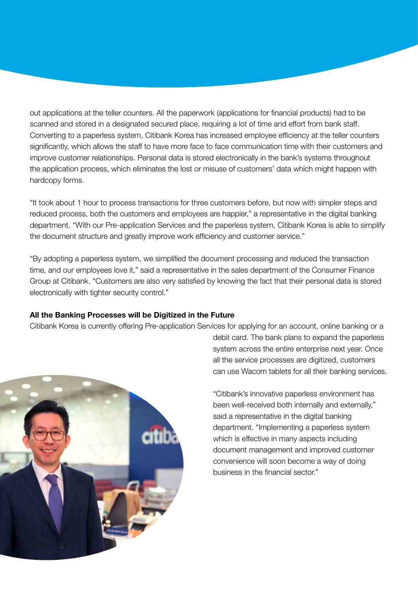out applications at the teller counters. All the paperwork (applications for financial products) had to be scanned and stored in a designated secured place, requiring a lot of time and effort from bank staff. Converting to a paperless system, Citibank Korea has increased employee efficiency at the teller counters significantly, which allows the staff to have more face to face communication time with their customers and improve customer relationships. Personal data is stored electronically in the bank's systems throughout the application process, which eliminates the lost or misuse of customers' data which might happen with hardcopy forms.

"It took about 1 hour to process transactions for three customers before, but now with simpler steps and reduced process, both the customers and employees are happier," a representative in the digital banking department. "With our Pre-application Services and the paperless system, Citibank Korea is able to simplify the document structure and greatly improve work efficiency and customer service."

"By adopting a paperless system, we simplified the document processing and reduced the transaction time, and our employees love it," said a representative in the sales department of the Consumer Finance Group at Citibank. "Customers are also very satisfied by knowing the fact that their personal data is stored electronically with tighter security control."

## **All the Banking Processes will be Digitized in the Future**

Citibank Korea is currently offering Pre-application Services for applying for an account, online banking or a



debit card. The bank plans to expand the paperless system across the entire enterprise next year. Once all the service processes are digitized, customers can use Wacom tablets for all their banking services.

"Citibank's innovative paperless environment has been well-received both internally and externally," said a representative in the digital banking department. "Implementing a paperless system which is effective in many aspects including document management and improved customer convenience will soon become a way of doing business in the financial sector."